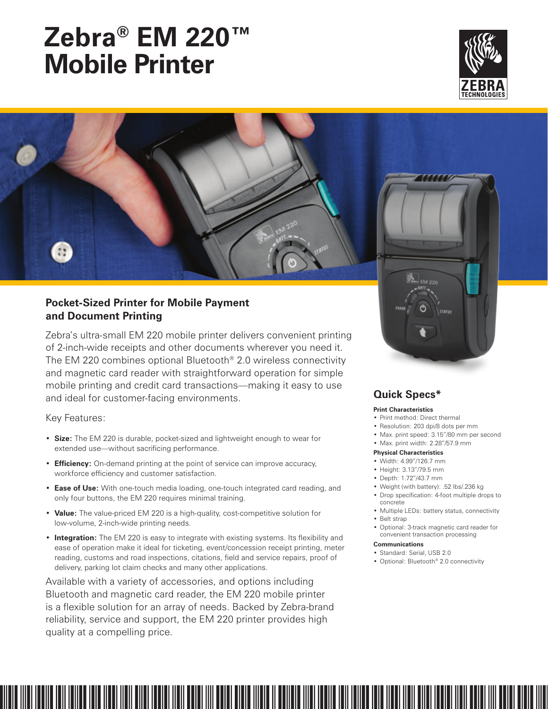# **Zebra® EM 220™ Mobile Printer**



#### **Pocket-Sized Printer for Mobile Payment and Document Printing**

Zebra's ultra-small EM 220 mobile printer delivers convenient printing of 2-inch-wide receipts and other documents wherever you need it. The EM 220 combines optional Bluetooth® 2.0 wireless connectivity and magnetic card reader with straightforward operation for simple mobile printing and credit card transactions—making it easy to use and ideal for customer-facing environments.

Key Features:

- • **Size:** The EM 220 is durable, pocket-sized and lightweight enough to wear for extended use—without sacrificing performance.
- **Efficiency:** On-demand printing at the point of service can improve accuracy, workforce efficiency and customer satisfaction.
- **Ease of Use:** With one-touch media loading, one-touch integrated card reading, and only four buttons, the EM 220 requires minimal training.
- • **Value:** The value-priced EM 220 is a high-quality, cost-competitive solution for low-volume, 2-inch-wide printing needs.
- **Integration:** The EM 220 is easy to integrate with existing systems. Its flexibility and ease of operation make it ideal for ticketing, event/concession receipt printing, meter reading, customs and road inspections, citations, field and service repairs, proof of delivery, parking lot claim checks and many other applications.

Available with a variety of accessories, and options including Bluetooth and magnetic card reader, the EM 220 mobile printer is a flexible solution for an array of needs. Backed by Zebra-brand reliability, service and support, the EM 220 printer provides high quality at a compelling price.



#### **Quick Specs\***

#### **Print Characteristics**

- • Print method: Direct thermal
- Resolution: 203 dpi/8 dots per mm
- • Max. print speed: 3.15"/80 mm per second
- • Max. print width: 2.28"/57.9 mm

#### **Physical Characteristics**

- • Width: 4.99"/126.7 mm
- • Height: 3.13"/79.5 mm
- • Depth: 1.72"/43.7 mm
- • Weight (with battery): .52 lbs/.236 kg
- • Drop specification: 4-foot multiple drops to concrete
- • Multiple LEDs: battery status, connectivity • Belt strap
- • Optional: 3-track magnetic card reader for convenient transaction processing

#### **Communications**

- • Standard: Serial, USB 2.0
- • Optional: Bluetooth® 2.0 connectivity